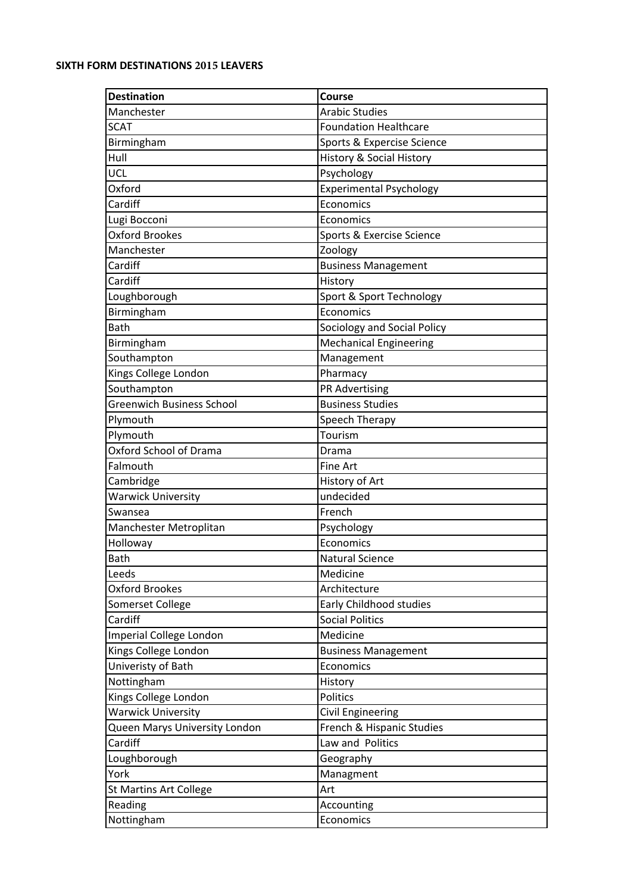## SIXTH FORM DESTINATIONS **2015** LEAVERS

| <b>Destination</b>               | Course                              |
|----------------------------------|-------------------------------------|
| Manchester                       | <b>Arabic Studies</b>               |
| <b>SCAT</b>                      | <b>Foundation Healthcare</b>        |
| Birmingham                       | Sports & Expercise Science          |
| Hull                             | <b>History &amp; Social History</b> |
| UCL                              | Psychology                          |
| Oxford                           | <b>Experimental Psychology</b>      |
| Cardiff                          | Economics                           |
| Lugi Bocconi                     | Economics                           |
| Oxford Brookes                   | Sports & Exercise Science           |
| Manchester                       | Zoology                             |
| Cardiff                          | <b>Business Management</b>          |
| Cardiff                          | History                             |
| Loughborough                     | Sport & Sport Technology            |
| Birmingham                       | Economics                           |
| <b>Bath</b>                      | Sociology and Social Policy         |
| Birmingham                       | <b>Mechanical Engineering</b>       |
| Southampton                      | Management                          |
| Kings College London             | Pharmacy                            |
| Southampton                      | PR Advertising                      |
| <b>Greenwich Business School</b> | <b>Business Studies</b>             |
| Plymouth                         | Speech Therapy                      |
| Plymouth                         | Tourism                             |
| Oxford School of Drama           | Drama                               |
| Falmouth                         | Fine Art                            |
| Cambridge                        | History of Art                      |
| <b>Warwick University</b>        | undecided                           |
| Swansea                          | French                              |
| Manchester Metroplitan           | Psychology                          |
| Holloway                         | Economics                           |
| <b>Bath</b>                      | <b>Natural Science</b>              |
| Leeds                            | Medicine                            |
| <b>Oxford Brookes</b>            | Architecture                        |
| Somerset College                 | Early Childhood studies             |
| Cardiff                          | <b>Social Politics</b>              |
| Imperial College London          | Medicine                            |
| Kings College London             | <b>Business Management</b>          |
| Univeristy of Bath               | Economics                           |
| Nottingham                       | History                             |
| Kings College London             | Politics                            |
| <b>Warwick University</b>        | <b>Civil Engineering</b>            |
| Queen Marys University London    | French & Hispanic Studies           |
| Cardiff                          | Law and Politics                    |
| Loughborough                     | Geography                           |
| York                             | Managment                           |
| St Martins Art College           | Art                                 |
| Reading                          | Accounting                          |
| Nottingham                       | Economics                           |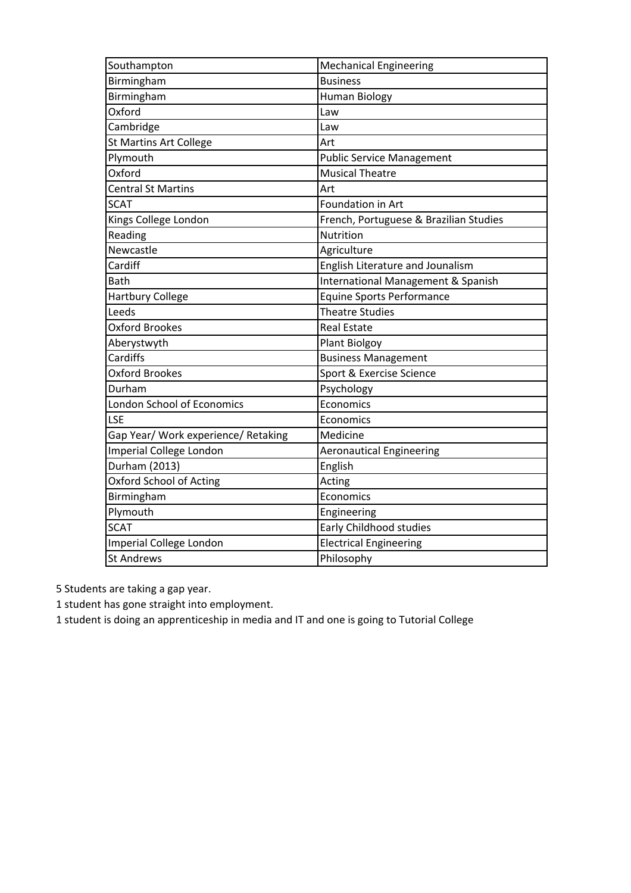| Southampton                         | <b>Mechanical Engineering</b>          |
|-------------------------------------|----------------------------------------|
| Birmingham                          | <b>Business</b>                        |
| Birmingham                          | <b>Human Biology</b>                   |
| Oxford                              | Law                                    |
| Cambridge                           | Law                                    |
| St Martins Art College              | Art                                    |
| Plymouth                            | <b>Public Service Management</b>       |
| Oxford                              | <b>Musical Theatre</b>                 |
| <b>Central St Martins</b>           | Art                                    |
| <b>SCAT</b>                         | Foundation in Art                      |
| Kings College London                | French, Portuguese & Brazilian Studies |
| Reading                             | <b>Nutrition</b>                       |
| Newcastle                           | Agriculture                            |
| Cardiff                             | English Literature and Jounalism       |
| <b>Bath</b>                         | International Management & Spanish     |
| <b>Hartbury College</b>             | <b>Equine Sports Performance</b>       |
| Leeds                               | <b>Theatre Studies</b>                 |
| Oxford Brookes                      | <b>Real Estate</b>                     |
| Aberystwyth                         | <b>Plant Biolgoy</b>                   |
| Cardiffs                            | <b>Business Management</b>             |
| <b>Oxford Brookes</b>               | Sport & Exercise Science               |
| Durham                              | Psychology                             |
| <b>London School of Economics</b>   | Economics                              |
| <b>LSE</b>                          | Economics                              |
| Gap Year/ Work experience/ Retaking | Medicine                               |
| Imperial College London             | <b>Aeronautical Engineering</b>        |
| Durham (2013)                       | English                                |
| Oxford School of Acting             | Acting                                 |
| Birmingham                          | Economics                              |
| Plymouth                            | Engineering                            |
| <b>SCAT</b>                         | Early Childhood studies                |
| Imperial College London             | <b>Electrical Engineering</b>          |
| <b>St Andrews</b>                   | Philosophy                             |

5 Students are taking a gap year.

1 student has gone straight into employment.

1 student is doing an apprenticeship in media and IT and one is going to Tutorial College